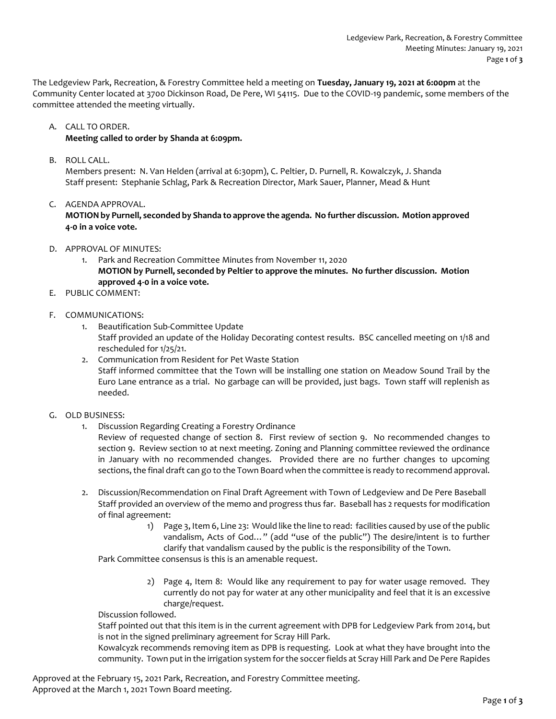The Ledgeview Park, Recreation, & Forestry Committee held a meeting on **Tuesday, January 19, 2021 at 6:00pm** at the Community Center located at 3700 Dickinson Road, De Pere, WI 54115. Due to the COVID-19 pandemic, some members of the committee attended the meeting virtually.

A. CALL TO ORDER.

# **Meeting called to order by Shanda at 6:09pm.**

B. ROLL CALL.

Members present: N. Van Helden (arrival at 6:30pm), C. Peltier, D. Purnell, R. Kowalczyk, J. Shanda Staff present: Stephanie Schlag, Park & Recreation Director, Mark Sauer, Planner, Mead & Hunt

C. AGENDA APPROVAL.

**MOTION by Purnell, seconded by Shanda to approve the agenda. No further discussion. Motion approved 4-0 in a voice vote.** 

- D. APPROVAL OF MINUTES:
	- 1. Park and Recreation Committee Minutes from November 11, 2020 **MOTION by Purnell, seconded by Peltier to approve the minutes. No further discussion. Motion approved 4-0 in a voice vote.**
- E. PUBLIC COMMENT:
- F. COMMUNICATIONS:
	- 1. Beautification Sub-Committee Update Staff provided an update of the Holiday Decorating contest results. BSC cancelled meeting on 1/18 and rescheduled for 1/25/21.
	- 2. Communication from Resident for Pet Waste Station Staff informed committee that the Town will be installing one station on Meadow Sound Trail by the Euro Lane entrance as a trial. No garbage can will be provided, just bags. Town staff will replenish as needed.
- G. OLD BUSINESS:
	- 1. Discussion Regarding Creating a Forestry Ordinance

Review of requested change of section 8. First review of section 9. No recommended changes to section 9. Review section 10 at next meeting. Zoning and Planning committee reviewed the ordinance in January with no recommended changes. Provided there are no further changes to upcoming sections, the final draft can go to the Town Board when the committee is ready to recommend approval.

- 2. Discussion/Recommendation on Final Draft Agreement with Town of Ledgeview and De Pere Baseball Staff provided an overview of the memo and progress thus far. Baseball has 2 requests for modification of final agreement:
	- 1) Page 3, Item 6, Line 23: Would like the line to read: facilities caused by use of the public vandalism, Acts of God…" (add "use of the public") The desire/intent is to further clarify that vandalism caused by the public is the responsibility of the Town.

Park Committee consensus is this is an amenable request.

2) Page 4, Item 8: Would like any requirement to pay for water usage removed. They currently do not pay for water at any other municipality and feel that it is an excessive charge/request.

Discussion followed.

Staff pointed out that this item is in the current agreement with DPB for Ledgeview Park from 2014, but is not in the signed preliminary agreement for Scray Hill Park.

Kowalcyzk recommends removing item as DPB is requesting. Look at what they have brought into the community. Town put in the irrigation system for the soccer fields at Scray Hill Park and De Pere Rapides

Approved at the February 15, 2021 Park, Recreation, and Forestry Committee meeting. Approved at the March 1, 2021 Town Board meeting.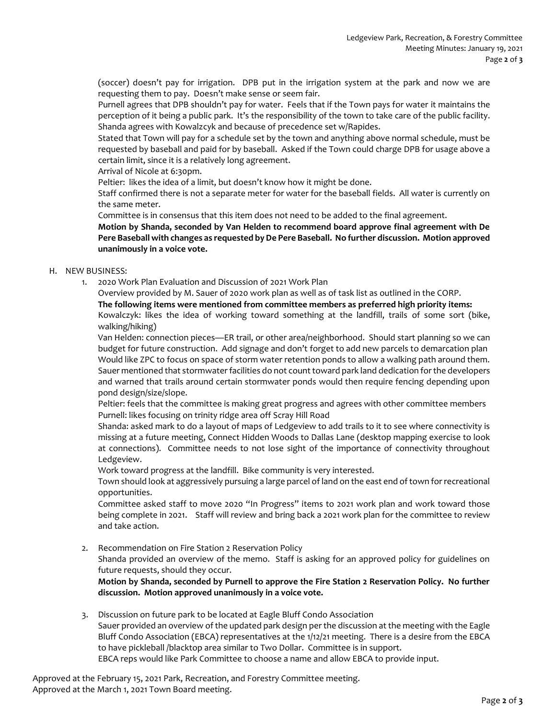(soccer) doesn't pay for irrigation. DPB put in the irrigation system at the park and now we are requesting them to pay. Doesn't make sense or seem fair.

Purnell agrees that DPB shouldn't pay for water. Feels that if the Town pays for water it maintains the perception of it being a public park. It's the responsibility of the town to take care of the public facility. Shanda agrees with Kowalzcyk and because of precedence set w/Rapides.

Stated that Town will pay for a schedule set by the town and anything above normal schedule, must be requested by baseball and paid for by baseball. Asked if the Town could charge DPB for usage above a certain limit, since it is a relatively long agreement.

Arrival of Nicole at 6:30pm.

Peltier: likes the idea of a limit, but doesn't know how it might be done.

Staff confirmed there is not a separate meter for water for the baseball fields. All water is currently on the same meter.

Committee is in consensus that this item does not need to be added to the final agreement.

**Motion by Shanda, seconded by Van Helden to recommend board approve final agreement with De Pere Baseball with changes as requested by De Pere Baseball. No further discussion. Motion approved unanimously in a voice vote.**

## H. NEW BUSINESS:

1. 2020 Work Plan Evaluation and Discussion of 2021 Work Plan

Overview provided by M. Sauer of 2020 work plan as well as of task list as outlined in the CORP.

#### **The following items were mentioned from committee members as preferred high priority items:**

Kowalczyk: likes the idea of working toward something at the landfill, trails of some sort (bike, walking/hiking)

Van Helden: connection pieces—ER trail, or other area/neighborhood. Should start planning so we can budget for future construction. Add signage and don't forget to add new parcels to demarcation plan Would like ZPC to focus on space of storm water retention ponds to allow a walking path around them. Sauer mentioned that stormwaterfacilities do not count toward park land dedication for the developers and warned that trails around certain stormwater ponds would then require fencing depending upon pond design/size/slope.

Peltier: feels that the committee is making great progress and agrees with other committee members Purnell: likes focusing on trinity ridge area off Scray Hill Road

Shanda: asked mark to do a layout of maps of Ledgeview to add trails to it to see where connectivity is missing at a future meeting, Connect Hidden Woods to Dallas Lane (desktop mapping exercise to look at connections). Committee needs to not lose sight of the importance of connectivity throughout Ledgeview.

Work toward progress at the landfill. Bike community is very interested.

Town should look at aggressively pursuing a large parcel of land on the east end of town for recreational opportunities.

Committee asked staff to move 2020 "In Progress" items to 2021 work plan and work toward those being complete in 2021. Staff will review and bring back a 2021 work plan for the committee to review and take action.

2. Recommendation on Fire Station 2 Reservation Policy

Shanda provided an overview of the memo. Staff is asking for an approved policy for guidelines on future requests, should they occur.

**Motion by Shanda, seconded by Purnell to approve the Fire Station 2 Reservation Policy. No further discussion. Motion approved unanimously in a voice vote.**

3. Discussion on future park to be located at Eagle Bluff Condo Association Sauer provided an overview of the updated park design per the discussion at the meeting with the Eagle Bluff Condo Association (EBCA) representatives at the 1/12/21 meeting. There is a desire from the EBCA to have pickleball /blacktop area similar to Two Dollar. Committee is in support. EBCA reps would like Park Committee to choose a name and allow EBCA to provide input.

Approved at the February 15, 2021 Park, Recreation, and Forestry Committee meeting. Approved at the March 1, 2021 Town Board meeting.